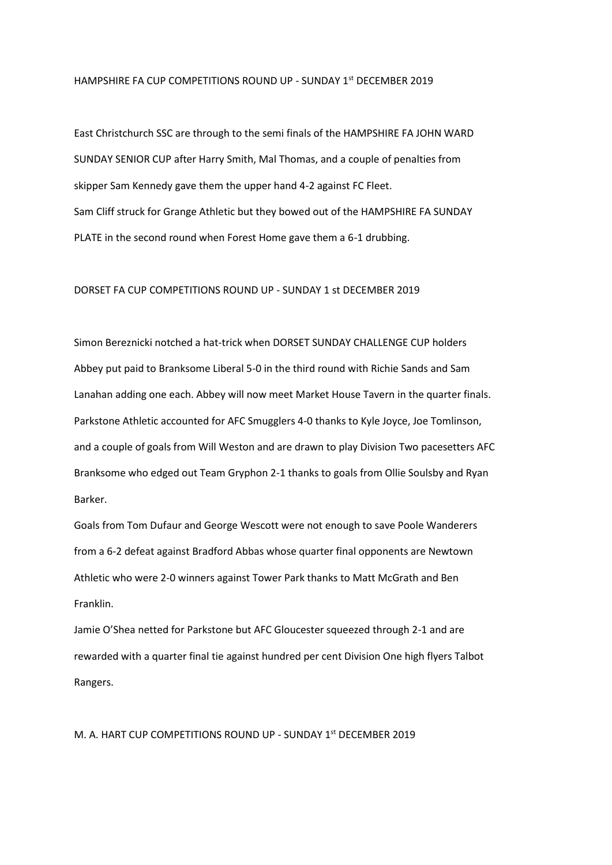## HAMPSHIRE FA CUP COMPETITIONS ROUND UP - SUNDAY 1st DECEMBER 2019

East Christchurch SSC are through to the semi finals of the HAMPSHIRE FA JOHN WARD SUNDAY SENIOR CUP after Harry Smith, Mal Thomas, and a couple of penalties from skipper Sam Kennedy gave them the upper hand 4-2 against FC Fleet. Sam Cliff struck for Grange Athletic but they bowed out of the HAMPSHIRE FA SUNDAY PLATE in the second round when Forest Home gave them a 6-1 drubbing.

## DORSET FA CUP COMPETITIONS ROUND UP - SUNDAY 1 st DECEMBER 2019

Simon Bereznicki notched a hat-trick when DORSET SUNDAY CHALLENGE CUP holders Abbey put paid to Branksome Liberal 5-0 in the third round with Richie Sands and Sam Lanahan adding one each. Abbey will now meet Market House Tavern in the quarter finals. Parkstone Athletic accounted for AFC Smugglers 4-0 thanks to Kyle Joyce, Joe Tomlinson, and a couple of goals from Will Weston and are drawn to play Division Two pacesetters AFC Branksome who edged out Team Gryphon 2-1 thanks to goals from Ollie Soulsby and Ryan Barker.

Goals from Tom Dufaur and George Wescott were not enough to save Poole Wanderers from a 6-2 defeat against Bradford Abbas whose quarter final opponents are Newtown Athletic who were 2-0 winners against Tower Park thanks to Matt McGrath and Ben Franklin.

Jamie O'Shea netted for Parkstone but AFC Gloucester squeezed through 2-1 and are rewarded with a quarter final tie against hundred per cent Division One high flyers Talbot Rangers.

M. A. HART CUP COMPETITIONS ROUND UP - SUNDAY 1st DECEMBER 2019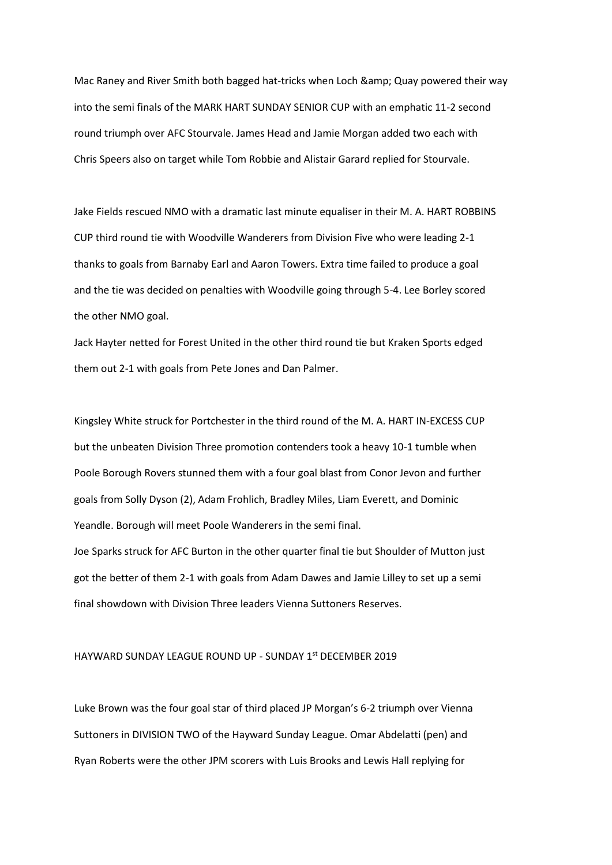Mac Raney and River Smith both bagged hat-tricks when Loch & amp; Quay powered their way into the semi finals of the MARK HART SUNDAY SENIOR CUP with an emphatic 11-2 second round triumph over AFC Stourvale. James Head and Jamie Morgan added two each with Chris Speers also on target while Tom Robbie and Alistair Garard replied for Stourvale.

Jake Fields rescued NMO with a dramatic last minute equaliser in their M. A. HART ROBBINS CUP third round tie with Woodville Wanderers from Division Five who were leading 2-1 thanks to goals from Barnaby Earl and Aaron Towers. Extra time failed to produce a goal and the tie was decided on penalties with Woodville going through 5-4. Lee Borley scored the other NMO goal.

Jack Hayter netted for Forest United in the other third round tie but Kraken Sports edged them out 2-1 with goals from Pete Jones and Dan Palmer.

Kingsley White struck for Portchester in the third round of the M. A. HART IN-EXCESS CUP but the unbeaten Division Three promotion contenders took a heavy 10-1 tumble when Poole Borough Rovers stunned them with a four goal blast from Conor Jevon and further goals from Solly Dyson (2), Adam Frohlich, Bradley Miles, Liam Everett, and Dominic Yeandle. Borough will meet Poole Wanderers in the semi final.

Joe Sparks struck for AFC Burton in the other quarter final tie but Shoulder of Mutton just got the better of them 2-1 with goals from Adam Dawes and Jamie Lilley to set up a semi final showdown with Division Three leaders Vienna Suttoners Reserves.

## HAYWARD SUNDAY LEAGUE ROUND UP - SUNDAY 1st DECEMBER 2019

Luke Brown was the four goal star of third placed JP Morgan's 6-2 triumph over Vienna Suttoners in DIVISION TWO of the Hayward Sunday League. Omar Abdelatti (pen) and Ryan Roberts were the other JPM scorers with Luis Brooks and Lewis Hall replying for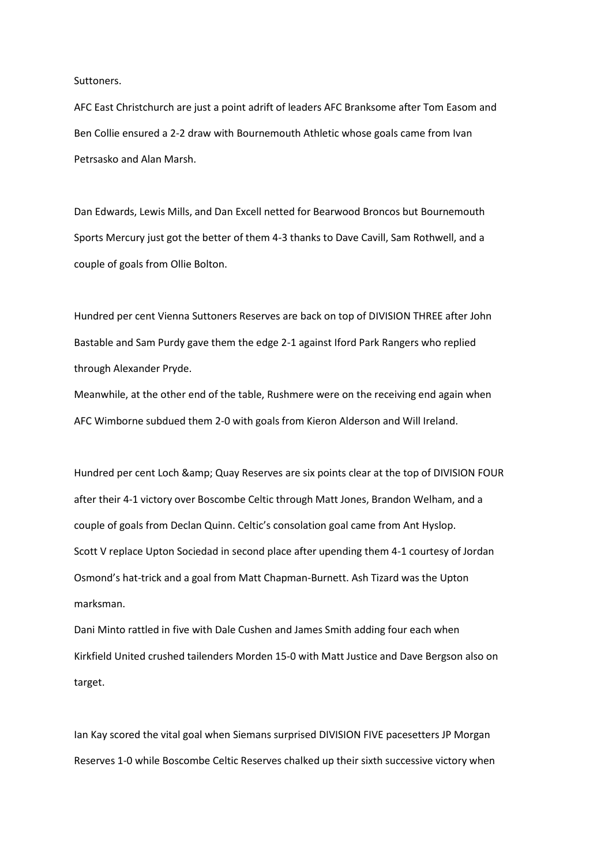Suttoners.

AFC East Christchurch are just a point adrift of leaders AFC Branksome after Tom Easom and Ben Collie ensured a 2-2 draw with Bournemouth Athletic whose goals came from Ivan Petrsasko and Alan Marsh.

Dan Edwards, Lewis Mills, and Dan Excell netted for Bearwood Broncos but Bournemouth Sports Mercury just got the better of them 4-3 thanks to Dave Cavill, Sam Rothwell, and a couple of goals from Ollie Bolton.

Hundred per cent Vienna Suttoners Reserves are back on top of DIVISION THREE after John Bastable and Sam Purdy gave them the edge 2-1 against Iford Park Rangers who replied through Alexander Pryde.

Meanwhile, at the other end of the table, Rushmere were on the receiving end again when AFC Wimborne subdued them 2-0 with goals from Kieron Alderson and Will Ireland.

Hundred per cent Loch & amp; Quay Reserves are six points clear at the top of DIVISION FOUR after their 4-1 victory over Boscombe Celtic through Matt Jones, Brandon Welham, and a couple of goals from Declan Quinn. Celtic's consolation goal came from Ant Hyslop. Scott V replace Upton Sociedad in second place after upending them 4-1 courtesy of Jordan Osmond's hat-trick and a goal from Matt Chapman-Burnett. Ash Tizard was the Upton marksman.

Dani Minto rattled in five with Dale Cushen and James Smith adding four each when Kirkfield United crushed tailenders Morden 15-0 with Matt Justice and Dave Bergson also on target.

Ian Kay scored the vital goal when Siemans surprised DIVISION FIVE pacesetters JP Morgan Reserves 1-0 while Boscombe Celtic Reserves chalked up their sixth successive victory when